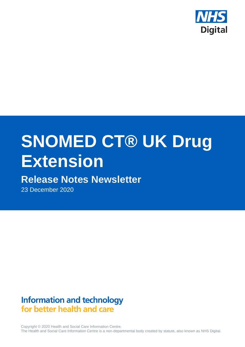

# **SNOMED CT® UK Drug Extension**

## **Release Notes Newsletter**

23 December 2020

## **Information and technology** for better health and care

Copyright © 2020 Health and Social Care Information Centre. The Health and Social Care Information Centre is a non-departmental body created by statute, also known as NHS Digital.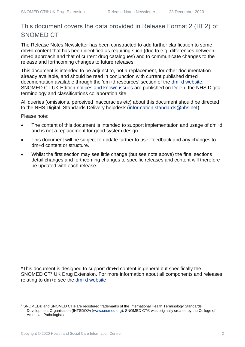## This document covers the data provided in Release Format 2 (RF2) of SNOMED CT

The Release Notes Newsletter has been constructed to add further clarification to some dm+d content that has been identified as requiring such (due to e.g. differences between dm+d approach and that of current drug catalogues) and to communicate changes to the release and forthcoming changes to future releases.

This document is intended to be adjunct to, not a replacement, for other documentation already available, and should be read in conjunction with current published dm+d documentation available through the 'dm+d resources' section of the [dm+d website.](https://www.nhsbsa.nhs.uk/pharmacies-gp-practices-and-appliance-contractors/dictionary-medicines-and-devices-dmd) SNOMED CT UK Edition [notices and known issues](https://hscic.kahootz.com/connect.ti/t_c_home/view?objectId=14224752) are published on [Delen,](https://hscic.kahootz.com/connect.ti/t_c_home) the NHS Digital terminology and classifications collaboration site.

All queries (omissions, perceived inaccuracies etc) about this document should be directed to the NHS Digital, Standards Delivery helpdesk [\(information.standards@nhs.net\)](mailto:information.standards@nhs.net).

Please note:

- The content of this document is intended to support implementation and usage of dm+d and is not a replacement for good system design.
- This document will be subject to update further to user feedback and any changes to dm+d content or structure.
- Whilst the first section may see little change (but see note above) the final sections detail changes and forthcoming changes to specific releases and content will therefore be updated with each release.

\*This document is designed to support dm+d content in general but specifically the SNOMED CT<sup>1</sup> UK Drug Extension. For more information about all components and releases relating to dm+d see the [dm+d website](https://www.nhsbsa.nhs.uk/pharmacies-gp-practices-and-appliance-contractors/dictionary-medicines-and-devices-dmd)

<sup>1</sup> SNOMED® and SNOMED CT® are registered trademarks of the International Health Terminology Standards Development Organisation (IHTSDO®) [\(www.snomed.org\)](http://www.snomed.org/). SNOMED CT® was originally created by the College of American Pathologists.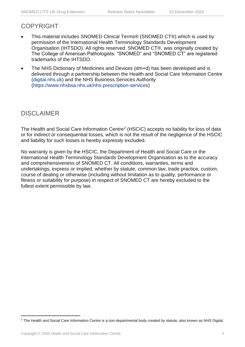## COPYRIGHT

- This material includes SNOMED Clinical Terms® (SNOMED CT®) which is used by permission of the International Health Terminology Standards Development Organisation (IHTSDO). All rights reserved. SNOMED CT®, was originally created by The College of American Pathologists. "SNOMED" and "SNOMED CT" are registered trademarks of the IHTSDO.
- The NHS Dictionary of Medicines and Devices (dm+d) has been developed and is delivered through a partnership between the Health and Social Care Information Centre [\(digital.nhs.uk\)](https://digital.nhs.uk/) and the NHS Business Services Authority [\(https://www.nhsbsa.nhs.uk/nhs-prescription-services\)](https://www.nhsbsa.nhs.uk/nhs-prescription-services)

## DISCLAIMER

The Health and Social Care Information Centre<sup>2</sup> (HSCIC) accepts no liability for loss of data or for indirect or consequential losses, which is not the result of the negligence of the HSCIC and liability for such losses is hereby expressly excluded.

No warranty is given by the HSCIC, the Department of Health and Social Care or the International Health Terminology Standards Development Organisation as to the accuracy and comprehensiveness of SNOMED CT. All conditions, warranties, terms and undertakings, express or implied, whether by statute, common law, trade practice, custom, course of dealing or otherwise (including without limitation as to quality, performance or fitness or suitability for purpose) in respect of SNOMED CT are hereby excluded to the fullest extent permissible by law.

<sup>&</sup>lt;sup>2</sup> The Health and Social Care Information Centre is a non-departmental body created by statute, also known as NHS Digital.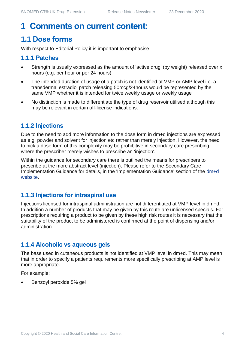## **1 Comments on current content:**

## **1.1 Dose forms**

With respect to Editorial Policy it is important to emphasise:

#### **1.1.1 Patches**

- Strength is usually expressed as the amount of 'active drug' (by weight) released over x hours (e.g. per hour or per 24 hours)
- The intended duration of usage of a patch is not identified at VMP or AMP level i.e. a transdermal estradiol patch releasing 50mcg/24hours would be represented by the same VMP whether it is intended for twice weekly usage or weekly usage
- No distinction is made to differentiate the type of drug reservoir utilised although this may be relevant in certain off-license indications.

## **1.1.2 Injections**

Due to the need to add more information to the dose form in dm+d injections are expressed as e.g. powder and solvent for injection etc rather than merely injection. However, the need to pick a dose form of this complexity may be prohibitive in secondary care prescribing where the prescriber merely wishes to prescribe an 'injection'.

Within the guidance for secondary care there is outlined the means for prescribers to prescribe at the more abstract level (injection). Please refer to the Secondary Care Implementation Guidance for details, in the 'Implementation Guidance' section of the [dm+d](https://www.nhsbsa.nhs.uk/pharmacies-gp-practices-and-appliance-contractors/dictionary-medicines-and-devices-dmd)  [website.](https://www.nhsbsa.nhs.uk/pharmacies-gp-practices-and-appliance-contractors/dictionary-medicines-and-devices-dmd)

#### **1.1.3 Injections for intraspinal use**

Injections licensed for intraspinal administration are not differentiated at VMP level in dm+d. In addition a number of products that may be given by this route are unlicensed specials. For prescriptions requiring a product to be given by these high risk routes it is necessary that the suitability of the product to be administered is confirmed at the point of dispensing and/or administration.

## **1.1.4 Alcoholic vs aqueous gels**

The base used in cutaneous products is not identified at VMP level in dm+d. This may mean that in order to specify a patients requirements more specifically prescribing at AMP level is more appropriate.

For example:

• Benzoyl peroxide 5% gel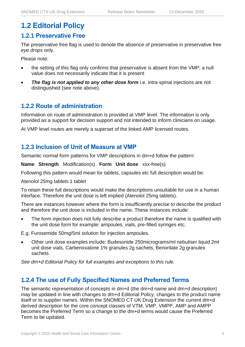## **1.2 Editorial Policy**

#### **1.2.1 Preservative Free**

The preservative free flag is used to denote the absence of preservative in preservative free *eye drops* only.

Please note:

- the setting of this flag only confirms that preservative is absent from the VMP; a null value does not necessarily indicate that it is present
- **The flag is not applied to any other dose form** i.e. intra-spinal injections are not distinguished (see note above).

## **1.2.2 Route of administration**

Information on route of administration is provided at VMP level. The information is only provided as a support for decision support and not intended to inform clinicians on usage.

At VMP level routes are merely a superset of the linked AMP licensed routes.

## **1.2.3 Inclusion of Unit of Measure at VMP**

Semantic normal form patterns for VMP descriptions in dm+d follow the pattern:

**Name Strength** Modification(s) **Form Unit dose** xxx-free(s)

Following this pattern would mean for tablets, capsules etc full description would be:

Atenolol 25mg tablets 1 tablet

To retain these full descriptions would make the descriptions unsuitable for use in a human interface. Therefore the unit dose is left implied (Atenolol 25mg tablets).

There are instances however where the form is insufficiently precise to describe the product and therefore the unit dose is included in the name. These instances include:

The form injection does not fully describe a product therefore the name is qualified with the unit dose form for example: ampoules, vials, pre-filled syringes etc.

E.g. Furosemide 50mg/5ml solution for injection ampoules.

• Other unit dose examples include: Budesonide 250micrograms/ml nebuliser liquid 2ml unit dose vials, Carbenoxalone 1% granules 2g sachets, Benorilate 2g granules sachets.

*See dm+d Editorial Policy for full examples and exceptions to this rule.*

## **1.2.4 The use of Fully Specified Names and Preferred Terms**

The semantic representation of concepts in dm+d (the dm+d name and dm+d description) may be updated in line with changes to dm+d Editorial Policy, changes to the product name itself or to supplier names. Within the SNOMED CT UK Drug Extension the current dm+d derived description for the core concept classes of VTM, VMP, VMPP, AMP and AMPP becomes the Preferred Term so a change to the dm+d terms would cause the Preferred Term to be updated.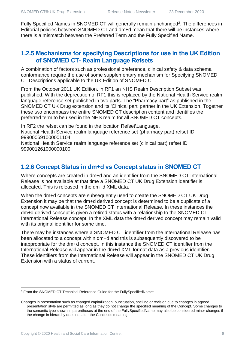Fully Specified Names in SNOMED CT will generally remain unchanged<sup>3</sup>. The differences in Editorial policies between SNOMED CT and dm+d mean that there will be instances where there is a mismatch between the Preferred Term and the Fully Specified Name.

#### **1.2.5 Mechanisms for specifying Descriptions for use in the UK Edition of SNOMED CT- Realm Language Refsets**

A combination of factors such as professional preference, clinical safety & data schema conformance require the use of some supplementary mechanism for Specifying SNOMED CT Descriptions applicable to the UK Edition of SNOMED CT.

From the October 2011 UK Edition, in RF1 an NHS Realm Description Subset was published. With the deprecation of RF1 this is replaced by the National Health Service realm language reference set published in two parts. The "Pharmacy part" as published in the SNOMED CT UK Drug extension and its 'Clinical part' partner in the UK Extension. Together these two encompass the entire SNOMED CT description content and identifies the preferred term to be used in the NHS realm for all SNOMED CT concepts.

In RF2 the refset can be found in the location Refset\Language. National Health Service realm language reference set (pharmacy part) refset ID 999000691000001104

National Health Service realm language reference set (clinical part) refset ID 999001261000000100

## **1.2.6 Concept Status in dm+d vs Concept status in SNOMED CT**

Where concepts are created in dm+d and an identifier from the SNOMED CT International Release is not available at that time a SNOMED CT UK Drug Extension identifier is allocated. This is released in the dm+d XML data.

When the dm+d concepts are subsequently used to create the SNOMED CT UK Drug Extension it may be that the dm+d derived concept is determined to be a duplicate of a concept now available in the SNOMED CT International Release. In these instances the dm+d derived concept is given a retired status with a relationship to the SNOMED CT International Release concept. In the XML data the dm+d derived concept may remain valid with its original identifier for some time.

There may be instances where a SNOMED CT identifier from the International Release has been allocated to a concept within dm+d and this is subsequently discovered to be inappropriate for the dm+d concept. In this instance the SNOMED CT identifier from the International Release will appear in the dm+d XML format data as a previous identifier. These identifiers from the International Release will appear in the SNOMED CT UK Drug Extension with a status of current.

<sup>3</sup> From the SNOMED CT Technical Reference Guide for the FullySpecifiedName:

Changes in presentation such as changed capitalization, punctuation, spelling or revision due to changes in agreed presentation style are permitted as long as they do not change the specified meaning of the Concept. Some changes to the semantic type shown in parentheses at the end of the FullySpecifiedName may also be considered minor changes if the change in hierarchy does not alter the Concept's meaning.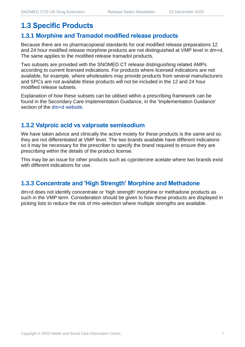## **1.3 Specific Products**

#### **1.3.1 Morphine and Tramadol modified release products**

Because there are no pharmacopoeial standards for oral modified release preparations 12 and 24 hour modified release morphine products are not distinguished at VMP level in dm+d. The same applies to the modified release tramadol products.

Two subsets are provided with the SNOMED CT release distinguishing related AMPs according to current licensed indications. For products where licensed indications are not available, for example, where wholesalers may provide products from several manufacturers and SPCs are not available these products will not be included in the 12 and 24 hour modified release subsets.

Explanation of how these subsets can be utilised within a prescribing framework can be found in the Secondary Care Implementation Guidance, in the 'Implementation Guidance' section of the [dm+d website.](https://www.nhsbsa.nhs.uk/pharmacies-gp-practices-and-appliance-contractors/dictionary-medicines-and-devices-dmd)

## **1.3.2 Valproic acid vs valproate semisodium**

We have taken advice and clinically the active moiety for these products is the same and so they are not differentiated at VMP level. The two brands available have different indications so it may be necessary for the prescriber to specify the brand required to ensure they are prescribing within the details of the product license.

This may be an issue for other products such as cyproterone acetate where two brands exist with different indications for use.

## **1.3.3 Concentrate and 'High Strength' Morphine and Methadone**

dm+d does not identify concentrate or 'high strength' morphine or methadone products as such in the VMP term. Consideration should be given to how these products are displayed in picking lists to reduce the risk of mis-selection where multiple strengths are available.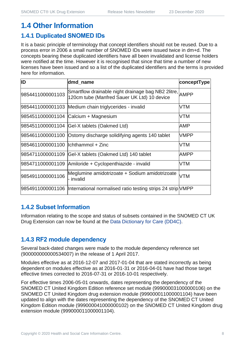## **1.4 Other Information**

## **1.4.1 Duplicated SNOMED IDs**

It is a basic principle of terminology that concept identifiers should not be reused. Due to a process error in 2006 a small number of SNOMED IDs were issued twice in dm+d. The concepts bearing these duplicated identifiers have all been invalidated and license holders were notified at the time. However it is recognised that since that time a number of new licenses have been issued and so a list of the duplicated identifiers and the terms is provided here for information.

| ID                                   | dmd_name                                                                                               | conceptType |
|--------------------------------------|--------------------------------------------------------------------------------------------------------|-------------|
| 9854411000001103                     | Smartflow drainable night drainage bag NB2 2litre, AMPP<br>120cm tube (Manfred Sauer UK Ltd) 10 device |             |
|                                      | 9854411000001103 Medium chain triglycerides - invalid                                                  | VTM         |
|                                      | 9854511000001104 Calcium + Magnesium                                                                   | VTM         |
|                                      | 9854511000001104 Gel-X tablets (Oakmed Ltd)                                                            | AMP         |
|                                      | 9854611000001100 Ostomy discharge solidifying agents 140 tablet                                        | <b>VMPP</b> |
| 9854611000001100   Ichthammol + Zinc |                                                                                                        | VTM         |
|                                      | 9854711000001109 Gel-X tablets (Oakmed Ltd) 140 tablet                                                 | AMPP        |
|                                      | 9854711000001109 Amiloride + Cyclopenthiazide - invalid                                                | VTM         |
| 9854911000001106                     | Meglumine amidotrizoate + Sodium amidotrizoate<br>- invalid                                            | <b>VTM</b>  |
|                                      | 9854911000001106  International normalised ratio testing strips 24 strip VMPP                          |             |

## **1.4.2 Subset Information**

Information relating to the scope and status of subsets contained in the SNOMED CT UK Drug Extension can now be found at the [Data Dictionary for Care \(DD4C\).](https://dd4c.digital.nhs.uk/dd4c/)

## **1.4.3 RF2 module dependency**

Several back-dated changes were made to the module dependency reference set (900000000000534007) in the release of 1 April 2017.

Modules effective as at 2016-12-07 and 2017-01-04 that are stated incorrectly as being dependent on modules effective as at 2016-01-31 or 2016-04-01 have had those target effective times corrected to 2016-07-31 or 2016-10-01 respectively.

For effective times 2006-05-01 onwards, dates representing the dependency of the SNOMED CT United Kingdom Edition reference set module (999000031000000106) on the SNOMED CT United Kingdom drug extension module (999000011000001104) have been updated to align with the dates representing the dependency of the SNOMED CT United Kingdom Edition module (999000041000000102) on the SNOMED CT United Kingdom drug extension module (999000011000001104).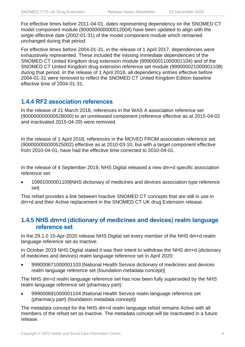For effective times before 2011-04-01, dates representing dependency on the SNOMED CT model component module (900000000000012004) have been updated to align with the single effective date (2002-01-31) of the model component module which remained unchanged during that period.

For effective times before 2004-01-31, in the release of 1 April 2017, dependencies were exhaustively represented. These included the missing immediate dependencies of the SNOMED CT United Kingdom drug extension module (999000011000001104) and of the SNOMED CT United Kingdom drug extension reference set module (999000021000001108) during that period. In the release of 1 April 2018, all dependency entries effective before 2004-01-31 were removed to reflect the SNOMED CT United Kingdom Edition baseline effective time of 2004-01-31.

## **1.4.4 RF2 association references**

In the release of 21 March 2018, references in the WAS A association reference set (900000000000528000) to an unreleased component (reference effective as at 2015-04-02 and inactivated 2015-04-29) were removed.

In the release of 1 April 2018, references in the MOVED FROM association reference set (900000000000525002) effective as at 2010-03-10, but with a target component effective from 2010-04-01, have had the effective time corrected to 2010-04-01.

In the release of 4 September 2019, NHS Digital released a new dm+d specific association reference set:

• 10991000001109|NHS dictionary of medicines and devices association type reference set|

This refset provides a link between Inactive SNOMED CT concepts that are still in use in dm+d and their Active replacement in the SNOMED CT UK drug Extension release.

## **1.4.5 NHS dm+d (dictionary of medicines and devices) realm language reference set**

In the 29.1.0 15-Apr-2020 release NHS Digital set every member of the NHS dm+d realm language reference set as Inactive.

In October 2019 NHS Digital stated it was their intent to withdraw the NHS dm+d (dictionary of medicines and devices) realm language reference set in April 2020:

• 999000671000001103 |National Health Service dictionary of medicines and devices realm language reference set (foundation metadata concept)|

The NHS dm+d realm language reference set has now been fully superseded by the NHS realm language reference set (pharmacy part):

• 999000691000001104 |National Health Service realm language reference set (pharmacy part) (foundation metadata concept)|

The metadata concept for the NHS dm+d realm language refset remains Active with all members of the refset set as Inactive. The metadata concept will be Inactivated in a future release.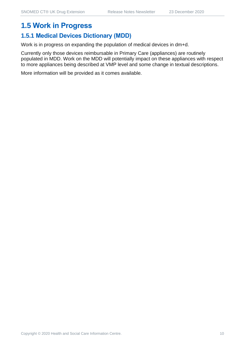## **1.5 Work in Progress**

## **1.5.1 Medical Devices Dictionary (MDD)**

Work is in progress on expanding the population of medical devices in dm+d.

Currently only those devices reimbursable in Primary Care (appliances) are routinely populated in MDD. Work on the MDD will potentially impact on these appliances with respect to more appliances being described at VMP level and some change in textual descriptions.

More information will be provided as it comes available.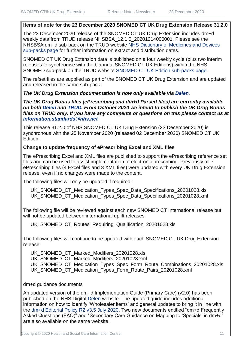#### **Items of note for the 23 December 2020 SNOMED CT UK Drug Extension Release 31.2.0**

The 23 December 2020 release of the SNOMED CT UK Drug Extension includes dm+d weekly data from TRUD release NHSBSA\_12.1.0\_20201214000001. Please see the NHSBSA dm+d sub-pack on the TRUD website [NHS Dictionary of Medicines and Devices](https://isd.digital.nhs.uk/trud3/user/guest/group/0/pack/6)  [sub-packs page](https://isd.digital.nhs.uk/trud3/user/guest/group/0/pack/6) for further information on extract and distribution dates.

SNOMED CT UK Drug Extension data is published on a four weekly cycle (plus two interim releases to synchronise with the biannual SNOMED CT UK Editions) within the NHS SNOMED sub-pack on the TRUD website [SNOMED CT UK Edition sub-packs page.](https://isd.digital.nhs.uk/trud3/user/guest/group/0/pack/26)

The refset files are supplied as part of the SNOMED CT UK Drug Extension and are updated and released in the same sub-pack.

#### *The UK Drug Extension documentation is now only available via [Delen](https://hscic.kahootz.com/connect.ti/t_c_home/view?objectId=14540272).*

*The UK Drug Bonus files (ePrescribing and dm+d Parsed files) are currently available on both [Delen](https://hscic.kahootz.com/connect.ti/t_c_home/view?objectId=14540272) and [TRUD.](https://isd.digital.nhs.uk/trud3/user/guest/group/0/pack/8/subpack/639/releases) From October 2020 we intend to publish the UK Drug Bonus files on TRUD only. If you have any comments or questions on this please contact us at [information.standards@nhs.net](mailto:information.standards@nhs.net)*

This release 31.2.0 of NHS SNOMED CT UK Drug Extension (23 December 2020) is synchronous with the 25 November 2020 (released 02 December 2020) SNOMED CT UK Edition.

#### **Change to update frequency of ePrescribing Excel and XML files**

The ePrescribing Excel and XML files are published to support the ePrescribing reference set files and can be used to assist implementation of electronic prescribing. Previously all 7 ePrescribing files (4 Excel files and 3 XML files) were updated with every UK Drug Extension release, even if no changes were made to the content.

The following files will only be updated if required:

UK\_SNOMED\_CT\_Medication\_Types\_Spec\_Data\_Specifications\_20201028.xls UK\_SNOMED\_CT\_Medication\_Types\_Spec\_Data\_Specifications\_20201028.xml

The following file will be reviewed against each new SNOMED CT International release but will not be updated between international uplift releases:

UK\_SNOMED\_CT\_Routes\_Requiring\_Qualification\_20201028.xls

The following files will continue to be updated with each SNOMED CT UK Drug Extension release:

UK\_SNOMED\_CT\_Marked\_Modifiers\_20201028.xls UK\_SNOMED\_CT\_Marked\_Modifiers\_20201028.xml UK\_SNOMED\_CT\_Medication\_Types\_Spec\_Form\_Route\_Combinations\_20201028.xls UK\_SNOMED\_CT\_Medication\_Types\_Form\_Route\_Pairs\_20201028.xml

#### dm+d guidance documents

An updated version of the dm+d Implementation Guide (Primary Care) (v2.0) has been published on the NHS Digital [Delen](https://hscic.kahootz.com/connect.ti/t_c_home/view?objectId=16878800) website. The updated guide includes additional information on how to identify 'Wholesaler items' and general updates to bring it in line with the [dm+d Editorial Policy R2 v3.5 July 2020.](https://www.nhsbsa.nhs.uk/sites/default/files/2020-07/Editorial%20Policy%20R2%20v3.5%20July%202020.pdf) Two new documents entitled "dm+d Frequently Asked Questions (FAQ)" and "Secondary Care Guidance on Mapping to 'Specials' in dm+d" are also available on the same website.

Copyright © 2020 Health and Social Care Information Centre. 11 11